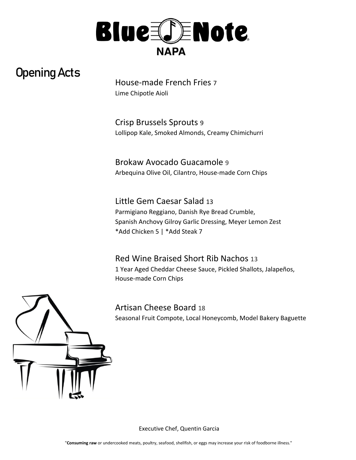

## Opening Acts

House-made French Fries 7 Lime Chipotle Aioli

Crisp Brussels Sprouts 9 Lollipop Kale, Smoked Almonds, Creamy Chimichurri

Brokaw Avocado Guacamole 9 Arbequina Olive Oil, Cilantro, House-made Corn Chips

Little Gem Caesar Salad 13 Parmigiano Reggiano, Danish Rye Bread Crumble, Spanish Anchovy Gilroy Garlic Dressing, Meyer Lemon Zest \*Add Chicken 5 | \*Add Steak 7

Red Wine Braised Short Rib Nachos 13 1 Year Aged Cheddar Cheese Sauce, Pickled Shallots, Jalapeños, House-made Corn Chips





Executive Chef, Quentin Garcia